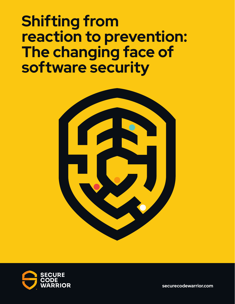# **Shifting from reaction to prevention: The changing face of software security**





**securecodewarrior.com**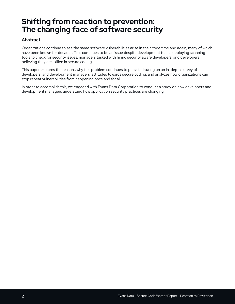# **Shifting from reaction to prevention: The changing face of software security**

### Abstract

Organizations continue to see the same software vulnerabilities arise in their code time and again, many of which have been known for decades. This continues to be an issue despite development teams deploying scanning tools to check for security issues, managers tasked with hiring security aware developers, and developers believing they are skilled in secure coding.

This paper explores the reasons why this problem continues to persist, drawing on an in-depth survey of developers' and development managers' attitudes towards secure coding, and analyzes how organizations can stop repeat vulnerabilities from happening once and for all.

In order to accomplish this, we engaged with Evans Data Corporation to conduct a study on how developers and development managers understand how application security practices are changing.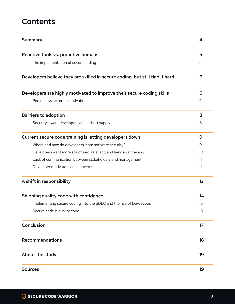# **Contents**

| <b>Summary</b>                                                               | 4  |
|------------------------------------------------------------------------------|----|
| Reactive tools vs. proactive humans                                          | 5  |
| The implementation of secure coding                                          | 5  |
| Developers believe they are skilled in secure coding, but still find it hard | 6  |
| Developers are highly motivated to improve their secure coding skills        | 6  |
| Personal vs. external motivations                                            | 7  |
| <b>Barriers to adoption</b>                                                  | 8  |
| Security-aware developers are in short supply                                | 8  |
| Current secure code training is letting developers down                      | 9  |
| Where and how do developers learn software security?                         | 9  |
| Developers want more structured, relevant, and hands-on training             | 10 |
| Lack of communication between stakeholders and management                    | 11 |
| Developer motivators and concerns                                            | 11 |
| A shift in responsibility                                                    | 12 |
| Shipping quality code with confidence                                        | 14 |
| Implementing secure coding into the SDLC and the rise of Devsecops           | 15 |
| Secure code is quality code                                                  | 15 |
| Conclusion                                                                   | 17 |
| Recommendations                                                              | 18 |
| About the study                                                              | 19 |
| <b>Sources</b>                                                               | 19 |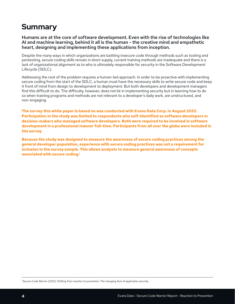# **Summary**

Humans are at the core of software development. Even with the rise of technologies like AI and machine learning, behind it all is the human - the creative mind and empathetic heart, designing and implementing these applications from inception.

Despite the many ways in which organizations are battling insecure code through methods such as tooling and pentesting, secure coding skills remain in short supply, current training methods are inadequate and there is a lack of organizational alignment as to who is ultimately responsible for security in the Software Development Lifecycle (SDLC).

Addressing the root of the problem requires a human-led approach. In order to be proactive with implementing secure coding from the start of the SDLC, a human must have the necessary skills to write secure code and keep it front of mind from design to development to deployment. But both developers and development managers find this difficult to do. The difficulty, however, does not lie in implementing security but in learning how to do so when training programs and methods are not relevant to a developer's daily work, are unstructured, and non-engaging.

**The survey this white paper is based on was conducted with Evans Data Corp. in August 2020. Participation in the study was limited to respondents who self-identified as software developers or decision-makers who managed software developers. Both were required to be involved in software development in a professional manner full-time. Participants from all over the globe were included in the survey** 

**Because the study was designed to measure the awareness of secure coding practices among the general developer population, experience with secure coding practices was not a requirement for inclusion in the survey sample. This allows analysts to measure general awareness of concepts associated with secure coding.1**

1 Secure Code Warrior (2021): *Shifting from reaction to prevention: The changing face of application security.*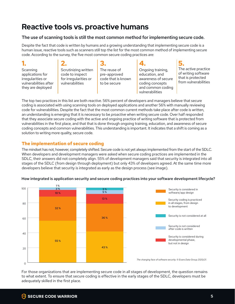# **Reactive tools vs. proactive humans**

### The use of scanning tools is still the most common method for implementing secure code.

Despite the fact that code is written by humans and a growing understanding that implementing secure code is a human issue, reactive tools such as scanners still top the list for the most common method of implementing secure code. According to the survey, the five most common secure coding practices are:

# **1.**

**Scanning** applications for irregularities or vulnerabilities after they are deployed

- **2.** Scrutinizing written code to inspect for irregularities or vulnerabilities
- **3.** The reuse of pre-approved code that is known to be secure

#### **4.** Ongoing training, education, and awareness of secure to be secure and coding concepts from and common coding practices into your software  $\sim$  practices into your social practices into your social properties in vulnerabilities development lifecycle in the lifecycle of the lifecycle in the lifecycle in the lifecycle in the lifecycle in the lifecycle in the lifecycle in the lifecycle in the lifecycle in the lifecycle in the lifecycle in the lifecy

**5.** The active practice of writing software that is protected from vulnerabilities

The top two practices in this list are both *reactive*. 56% percent of developers and managers believe that secure coding is associated with using scanning tools on deployed applications and another 56% with manually reviewing<br>2014 formula explicition Despite the fact that the weed converge current weather details who estate perhaps th code for vulnerabilities. Despite the fact that the most common current methods take place after code is written, code for vulflerabilities. Despite the ract that the most common current methods take place arter code is written,<br>an understanding is emerging that it is necessary to be *proactiv*e when writing secure code. Over half res an anaelocalitanty to enterging and the incoduct, yie supposes to men mining socal observe from that is protected from<br>that they associate secure coding with the active and ongoing practice of writing software that is prot vulnerabilities in the first place, and that that is done through ongoing training, education, and awareness of secure 80 coding concepts and common vulnerabilities. This understanding is important. It indicates that a shift is coming as a solution to writing more quality, secure code.  $1$  cu  $\overline{\ }$ 

# **The implementation of secure coding**

The mindset has not, however, completely shifted. Secure code is not yet always implemented from the start of the SDLC. 80 When developers and development managers were asked when secure coding practices are implemented in the SDLC, their answers did not completely align. 55% of development managers said that security is integrated into all 55 % stages of the SDLC (from design through deployment) but only 43% of developers agreed. At the same time more developers believe that security is integrated as early as the design process (see image).  $rac{3}{2}$ 



#### How integrated is application security and secure coding practices into your software development lifecycle? development die oppliestiep as synikus op die synne op die plane stiese interven

For those organizations that are implementing secure code in all stages of development, the question remains to what extent. To ensure that secure coding is effective in the early stages of the SDLC, developers must be<br>to what extent. To ensure that secure coding is effective in the early stages of the SDLC, developers must be adequately skilled in the first place.

to development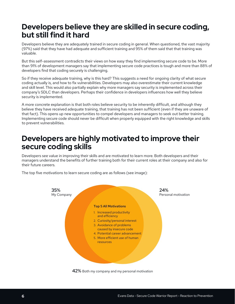# **Developers believe they are skilled in secure coding, but still find it hard**

Developers believe they are adequately trained in secure coding in general. When questioned, the vast majority (97%) said that they have had adequate and sufficient training and 95% of them said that that training was valuable.

But this self-assessment contradicts their views on how easy they find implementing secure code to be. More than 91% of development managers say that implementing secure code practices is tough and more than 88% of developers find that coding securely is challenging.

So if they receive adequate training, why is this hard? This suggests a need for ongoing clarity of what secure coding actually is, and how to fix vulnerabilities. Developers may also overestimate their current knowledge and skill level. This would also partially explain why more managers say security is implemented across their company's SDLC than developers. Perhaps their confidence in developers influences how well they believe security is implemented.

A more concrete explanation is that both roles believe security to be inherently difficult, and although they believe they have received adequate training, that training has not been sufficient (even if they are unaware of that fact). This opens up new opportunities to compel developers and managers to seek out better training. Implementing secure code should never be difficult when properly equipped with the right knowledge and skills to prevent vulnerabilities.

# **Developers are highly motivated to improve their secure coding skills**

Developers see value in improving their skills and are motivated to learn more. Both developers and their managers understand the benefits of further training both for their current roles at their company and also for their future careers.

The top five motivations to learn secure coding are as follows (see image):



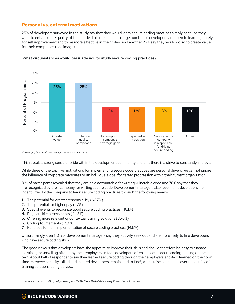### **Personal vs. external motivations**

25% of developers surveyed in the study say that they would learn secure coding practices simply because they want to enhance the quality of their code. This means that a large number of developers are open to learning purely for self improvement and to be more effective in their roles. And another 25% say they would do so to create value for their companies (see image).



#### What circumstances would persuade you to study secure coding practices?

*The changing face of software security. © Evans Data Group 2020/21.*

This reveals a strong sense of pride within the development community and that there is a strive to constantly improve.

While three of the top five motivations for implementing secure code practices are personal drivers, we cannot ignore the influence of corporate mandates or an individual's goal for career progression within their current organization.

81% of participants revealed that they are held accountable for writing vulnerable code and 70% say that they are recognized by their company for writing secure code. Development managers also reveal that developers are incentivized by the company to learn secure coding practices through the following means:

- 1. The potential for greater responsibility (66.7%)
- 2. The potential for higher pay (47%)
- 3. Special events to recognize good secure coding practices (46.1%)
- 4. Regular skills assessments (44.3%)
- 5. Offering more relevant or contextual training solutions (35.6%)
- 6. Coding tournaments (35.6%)
- 7. Penalties for non-implementation of secure coding practices (14.6%)

Unsurprisingly, over 80% of development managers say they actively seek out and are more likely to hire developers who have secure coding skills.

The good news is that developers have the appetite to improve their skills and should therefore be easy to engage in training or upskilling offered by their employers. In fact, developers often seek out secure coding training on their own. About half of respondents say they learned secure coding through their employers and 42% learned on their own time. However security skilled and minded developers remain hard to find<sup>2</sup>, which raises questions over the quality of training solutions being utilized.

<sup>2</sup> Laurence Bradford. (2018). *Why Developers Will Be More Marketable If They Know This Skill,* Forbes.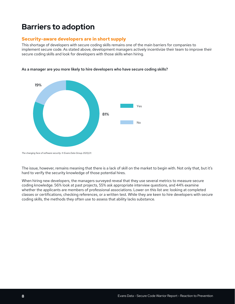# **Barriers to adoption**

### **Security-aware developers are in short supply**

This shortage of developers with secure coding skills remains one of the main barriers for companies to implement secure code. As stated above, development managers actively incentivize their team to improve their secure coding skills and look for developers with those skills when hiring.



As a manager are you more likely to hire developers who have secure coding skills?

The issue, however, remains meaning that there is a lack of skill on the market to begin with. Not only that, but it's hard to verify the security knowledge of those potential hires.

When hiring new developers, the managers surveyed reveal that they use several metrics to measure secure coding knowledge. 56% look at past projects, 55% ask appropriate interview questions, and 44% examine whether the applicants are members of professional associations. Lower on this list are: looking at completed classes or certifications, checking references, or a written test. While they are keen to hire developers with secure coding skills, the methods they often use to assess that ability lacks substance.

*The changing face of software security. © Evans Data Group 2020/21.*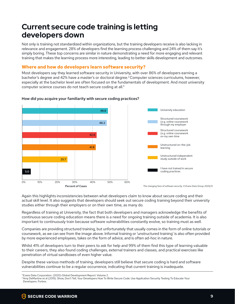# **Current secure code training is letting developers down**

Not only is training not standardized within organizations, but the training developers receive is also lacking in relevance and engagement. 28% of developers find the learning process challenging and 24% of them say it's relevance and engagement. 28% of developers find the learning process challenging and 24% of them say it's simply boring. These top concerns are similar in nature demonstrating a need for more engaging and relevant training that makes the learning process more interesting, leading to better skills development and outcomes.

### **Where and how do developers learn software security?**

Most developers say they learned software security in University, with over 86% of developers earning a 25.7 most developers say they learned software seeding in Oniversity, with over 80% or developers carring a<br>bachelor's degree and 42% have a master's or doctoral degree.<sup>3</sup> Computer sciences curriculums, however, especially at the bachelor level are often focused on the fundamentals of development. And most university computer science courses do not teach secure coding at all. $4$ 



#### secure coding practices? How did you acquire your familiarity with secure coding practices?

.<br>Again this highlights inconsistencies between what developers claim to know about secure coding and their actual skill level. It also suggests that developers should seek out secure coding training beyond their university studies either through their employers or on their own time, as many do.

Regardless of training at University, the fact that both developers and managers acknowledge the benefits of continuous secure coding education means there is a need for ongoing training outside of academia. It is also commisses socials sounce is accessor means there is a nece for engoing a all ling secures or accessmances as<br>important to continuously train because software vulnerabilities constantly evolve, so training must as well.

Companies are providing structured training, but unfortunately that usually comes in the form of online tutorials or coursework, as we can see from the image above. Informal training or 'unstructured training' is also often provided by more experienced employees, takes on the form of advice, and is often ad-hoc in nature.

Whilst 41% of developers turn to their peers to ask for help and 99% of them find this type of learning valuable to their careers, they also found coding challenges, external trainers and classes, and practical exercises like penetration of virtual sandboxes of even higher value.

Despite these various methods of training, developers still believe that secure coding is hard and software vulnerabilities continue to be a regular occurrence, indicating that current training is inadequate.

<sup>&</sup>lt;sup>3</sup> Evans Data Corporation. (2020) Global Development Report: Volume 2.

<sup>4</sup> Amy DeMartine et al (2019). Show, Don't Tell, Your Developers How To Write Secure Code. Use Application Security Testing To Educate Your Developers. Forbes.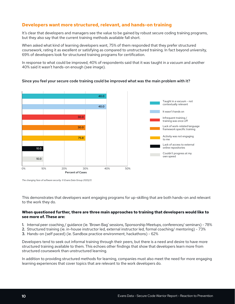# Developers want more structured, relevant, and hands-on training

It's clear that developers and managers see the value to be gained by robust secure coding training programs, but they also say that the current training methods available fall short. 30.0

When asked what kind of learning developers want, 75% of them responded that they prefer structured coursework, rating it as excellent or satisfying as compared to unstructured training. In fact beyond university, 40.0 69% of developers look for structured training programs for certification.

In response to what could be improved, 40% of respondents said that it was taught in a vacuum and another 40% said it wasn't hands-on enough (see image).



#### Since you feel your secure code training could be improved what was the main prob Since you feel your secure code training could be improved what was the main problem with it?

Taught in a vacuum - not *The changing face of software security. © Evans Data Group 2020/21.*

This demonstrates that developers want engaging programs for up-skilling that are both hands-on and relevant<br>. to the work they do.

### When questioned further, there are three main approaches to training that developers would like to **see more of. These are:**

- 1. Internal peer coaching / guidance (ie. 'Brown Bag' sessions, Sponsorship Meetups, conferences/ seminars) 78%
- 2. Structured training (ie. in-house instructor led, external instructor led, formal coaching/ mentoring) 73%
- 3. Hands-on (self paced) (ie. Sandbox practice environment, hackathons) 62%

Developers tend to seek out informal training through their peers, but there is a need and desire to have more structured training available to them. This echoes other findings that show that developers learn more from structured coursework than unstructured learning.

In addition to providing structured methods for learning, companies must also meet the need for more engaging learning experiences that cover topics that are relevant to the work developers do.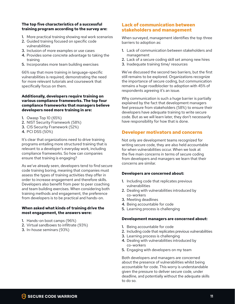#### **The top five characteristics of a successful training program according to the survey are:**

- 1. More practical training showing real work scenarios
- 2. Guided training focused on specific code vulnerabilities
- 3. Inclusion of more examples or use cases
- 4. Provides some concrete advantage to taking the training
- 5. Incorporates more team building exercises

66% say that more training in language-specific vulnerabilities is required, demonstrating the need for more relevant tutorials and coursework that specifically focus on them.

#### **Additionally, developers require training on various compliance frameworks. The top four compliance frameworks that managers believe developers need more training in are:**

- 1. Owasp Top 10 (65%)
- 2. NIST Security Framework (58%)
- 3. CIS Security Framework (52%)
- 4. PCI DSS (50%)

It's clear that organizations need to drive training programs entailing more structured training that is relevant to a developer's everyday work, including compliance frameworks. So how can companies ensure that training is engaging?

As we've already seen, developers tend to find secure code training boring, meaning that companies must assess the types of training activities they offer in order to increase engagement and therefore skills. Developers also benefit from peer to peer coaching and team building exercises. When considering both training methods and engagement, the preference from developers is to be practical and hands-on.

#### **When asked what kinds of training drive the most engagement, the answers were:**

- 1. Hands-on boot camps (96%)
- 2. Virtual sandboxes to infiltrate (93%)
- 3. In-house seminars (93%)

### **Lack of communication between stakeholders and management**

When surveyed, management identifies the top three barriers to adoption as:

- 1. Lack of communication between stakeholders and management
- 2. Lack of a secure coding skill set among new hires
- 3. Inadequate training time/ resources

We've discussed the second two barriers, but the first still remains to be explored. Organizations recognize the importance of secure coding, but communication remains a huge roadblocker to adoption with 45% of respondents agreeing it's an issue.

Why communication is such a huge barrier is partially explained by the fact that development managers feel pressure from stakeholders (58%) to ensure their developers have adequate training to write secure code. But as we will learn later, they don't necessarily have responsibility for how that is done.

### **Developer motivators and concerns**

Not only are development teams recognized for writing secure code, they are also held accountable for when vulnerabilities occur. When we look at the five main concerns in terms of secure coding from developers and managers we learn that their concerns are similar.

#### **Developers are concerned about:**

- 1. Including code that replicates previous vulnerabilities
- 2. Dealing with vulnerabilities introduced by co-workers
- 3. Meeting deadlines
- 4. Being accountable for code
- 5. Learning process is challenging

#### **Development managers are concerned about:**

- 1. Being accountable for code
- 2.Including code that replicates previous vulnerabilities
- 3. Learning process is challenging
- 4.Dealing with vulnerabilities introduced by co-workers
- 5. Engaging with developers on my team

Both developers and managers are concerned about the presence of vulnerabilities whilst being accountable for code. This worry is understandable given the pressure to deliver secure code, under deadline, and potentially without the adequate skills to do so.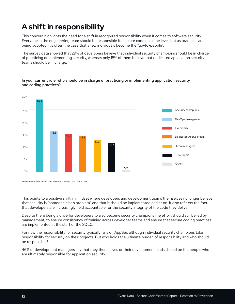# **A shift in responsibility**

This concern highlights the need for a shift in recognized responsibility when it comes to software security. me concerninginging the froce for element roodging to politicially informed to contract occurring.<br>Everyone in the engineering team should be responsible for secure code on some level, but as practices are being adopted, it's often the case that a few individuals become the "go-to-people".

The survey data showed that 29% of developers believe that individual security champions should be in charge 20% of practicing or implementing security, whereas only 15% of them believe that dedicated application security 16.5 30% teams should be in charge. Percent<br>Programmer<br>Programmers

#### practicing or implementing application security In your current role, who should be in charge of practicing or implementing application security and coding practices?



*The changing face of software security. © Evans Data Group 2020/21.* 

This points to a positive shift in mindset where developers and development teams themselves no longer believe that security is "someone else's problem" and that it should be implemented earlier on. It also reflects the fact that developers are increasingly held accountable for the security integrity of the code they deliver.

Despite there being a drive for developers to also become security champions the effort should still be led by management, to ensure consistency of training across developer teams and ensure that secure coding practices are implemented at the start of the SDLC.

For now the responsibility for security typically falls on AppSec although individual security champions take responsibility for security on their projects. But who holds the ultimate burden of responsibility and who should be responsible?

46% of development managers say that they themselves or their development leads should be the people who are ultimately responsible for application security.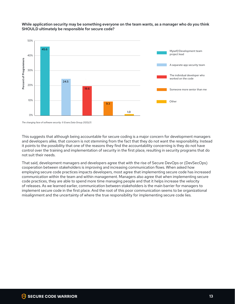

#### While application security may be something everyone on the team wants, as a manager who do you think SHOULD ultimately be responsible for secure code?

*The changing face of software security. © Evans Data Group 2020/21.* 

This suggests that although being accountable for secure coding is a major concern for development managers and developers alike, that concern is not stemming from the fact that they do not want the responsibility. Instead it points to the possibility that one of the reasons they find the accountability concerning is they do not have control over the training and implementation of security in the first place, resulting in security programs that do not suit their needs. <sup>.</sup> the training a

That said, development managers and developers agree that with the rise of Secure DevOps or (DevSecOps) cooperation between stakeholders is improving and increasing communication flows. When asked how employing secure code practices impacts developers, most agree that implementing secure code has increased communication within the team and within management. Managers also agree that when implementing secure code practices, they are able to spend more time managing people and that it helps increase the velocity of releases. As we learned earlier, communication between stakeholders is the main barrier for managers to implement secure code in the first place. And the root of this poor communication seems to be organizational misalignment and the uncertainty of where the true responsibility for implementing secure code lies.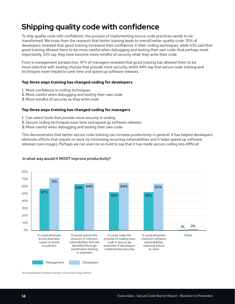# **Shipping quality code with confidence**

To ship quality code with confidence, the process of implementing secure code practices needs to be transformed. We know from the research that better training leads to overall better quality code. 55% of developers revealed that good training increased their confidence in their coding techniques, while 53% said that good training allowed them to be more careful when debugging and testing their own code. And perhaps most importantly, 53% say they have become more mindful of security while they write their code.

From a management perspective, 47% of managers revealed that good training has allowed them to be more selective with tooling choices that provide more security, whilst 44% say that secure code training and techniques have helped to save time and speed up software releases.

#### **Top three ways training has changed coding for developers**

- 1. More confidence in coding techniques
- 2. More careful when debugging and testing their own code
- 3. More mindful of security as they write code

#### **Top three ways training has changed coding for managers**

- 1. Can select tools that provide more security in coding
- 2. Secure coding techniques save time and speed up software releases
- 3. More careful when debugging and testing their own code

This demonstrates that better secure code training can increase productivity in general. It has helped developers eliminate efforts that require re-work by minimizing recurring vulnerabilities and it helps speed up software releases (see image). Perhaps we can even be so bold to say that it has made secure coding less difficult.



#### In what way would it MOST improve productivity?

*The changing face of software security. © Evans Data Group 2020/21.*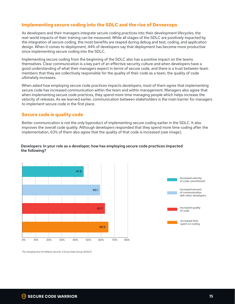### **Implementing secure coding into the SDLC and the rise of Devsecops**

As developers and their managers integrate secure coding practices into their development lifecycles, the real-world impacts of their training can be measured. While all stages of the SDLC are positively impacted by the integration of secure coding, the most benefits are reaped during debug and test, coding, and application design. When it comes to deployment, 44% of developers say that deployment has become more productive since implementing secure coding into the SDLC.

Implementing secure coding from the beginning of the SDLC also has a positive impact on the teams themselves. Clear communication is a key part of an effective security culture and when developers have a good understanding of what their managers expect in terms of secure code, and there is a trust between team members that they are collectively responsible for the quality of their code as a team, the quality of code practices in the state of code as a team of the quality of code as a team of the quality of code as a team of the ultimately increases.

When asked how employing secure code practices impacts developers, most of them agree that implementing secure code has increased communication within the team and within management. Managers also agree that when implementing secure code practices, they spend more time managing people which helps increase the velocity of releases. As we learned earlier, communication between stakeholders is the main barrier for managers to implement secure code in the first place.

### **Secure code is quality code**

Better communication is not the only byproduct of implementing secure coding earlier in the SDLC. It also improves the overall code quality. Although developers responded that they spend more time coding after the implementation, 63% of them also agree that the quality of that code is increased (see image).

### Developers: In your role as a developer, how has employing secure code practices impacted the following? the following?





The changing face of software security. © Evans Data Group 2020/21.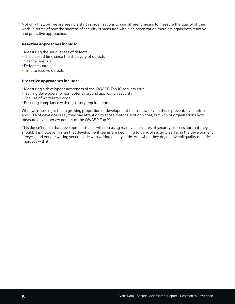Not only that, but we are seeing a shift in organizations to use different means to measure the quality of their work. In terms of how the success of security is measured within an organization there are again both reactive and proactive approaches.

#### **Reactive approaches include:**

- Measuring the seriousness of defects
- The elapsed time since the discovery of defects
- Scanner metrics
- Defect counts
- Time to resolve defects

#### **Proactive approaches include:**

- Measuring a developer's awareness of the OWASP Top 10 security risks
- Training developers for competency around application security
- The use of whitelisted code
- Ensuring compliance with regulatory requirements.

What we're seeing is that a growing proportion of development teams now rely on those preventative metrics and 90% of developers say they pay attention to those metrics. Not only that, but 67% of organizations now measure developer awareness of the OWASP Top 10.

This doesn't mean that development teams will stop using reactive measures of security success nor that they should. It is, however, a sign that development teams are beginning to think of security earlier in the development lifecycle and equate writing secure code with writing quality code. And when they do, the overall quality of code improves with it.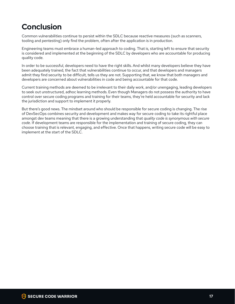# **Conclusion**

Common vulnerabilities continue to persist within the SDLC because reactive measures (such as scanners, tooling and pentesting) only find the problem, often after the application is in production.

Engineering teams must embrace a human-led approach to coding. That is, starting left to ensure that security is considered and implemented at the beginning of the SDLC by developers who are accountable for producing quality code.

In order to be successful, developers need to have the right skills. And whilst many developers believe they have been adequately trained, the fact that vulnerabilities continue to occur, and that developers and managers admit they find security to be difficult, tells us they are not. Supporting that, we know that both managers and developers are concerned about vulnerabilities in code and being accountable for that code.

Current training methods are deemed to be irrelevant to their daily work, and/or unengaging, leading developers to seek out unstructured, adhoc learning methods. Even though Managers do not possess the authority to have control over secure coding programs and training for their teams, they're held accountable for security and lack the jurisdiction and support to implement it properly.

But there's good news. The mindset around who should be responsible for secure coding is changing. The rise of DevSecOps combines security and development and makes way for secure coding to take its rightful place amongst dev teams meaning that there is a growing understanding that *quality code is synonymous with secure code*. If development teams are responsible for the implementation and training of secure coding, they can choose training that is relevant, engaging, and effective. Once that happens, writing secure code will be easy to implement at the start of the SDLC.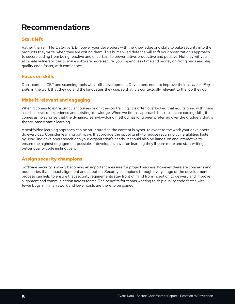# **Recommendations**

### **Start left**

Rather than shift left, *start left.* Empower your developers with the knowledge and skills to bake security into the products they write, when they are writing them. This human-led defence will shift your organization's approach to secure coding from being reactive and uncertain; to preventative, productive and positive. Not only will you eliminate vulnerabilities to make software more secure, you'll spend less time and money on fixing bugs and ship quality code faster, with confidence.

### **Focus on skills**

Don't confuse CBT and scanning tools with skills development. Developers need to improve their s*ecure coding skills,* in the work that they do and the languages they use, so that it is contextually relevant to the job they do.

### **Make it relevant and engaging**

When it comes to extracurricular courses or on-the-job training, it is often overlooked that adults bring with them a certain level of experience and existing knowledge. When we tie this approach back to secure coding skills, it comes as no surprise that the dynamic, learn-by-doing method has long been preferred over the drudgery that is theory-based static learning.

A scaffolded learning approach can be structured so the content is hyper-relevant to the work your developers do every day. Consider learning pathways that provide the opportunity to reduce recurring vulnerabilities faster by upskilling developers specific to your organization's needs. It should also be hands-on and interactive to ensure the highest engagement possible. If developers have fun learning they'll learn more and start writing better quality code instinctively.

### **Assign security champions**

Software security is slowly becoming an important measure for project success, however there are concerns and boundaries that impact alignment and adoption. Security champions through every stage of the development process can help to ensure that security requirements stay front of mind from inception to delivery and improve alignment and communication across teams. The benefits for teams wanting to ship quality code faster, with fewer bugs, minimal rework and lower costs are there to be gained.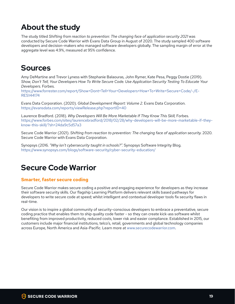# **About the study**

The study titled *Shifting from reaction to prevention: The changing face of application security 2021* was conducted by Secure Code Warrior with Evans Data Group in August of 2020. The study sampled 400 software developers and decision-makers who managed software developers globally. The sampling margin of error at the aggregate level was 4.9%, measured at 95% confidence.

# **Sources**

Amy DeMartine and Trevor Lyness with Stephanie Balaouras, John Rymer, Kate Pesa, Peggy Dostie (2019). *Show, Don't Tell, Your Developers How To Write Secure Code. Use Application Security Testing To Educate Your Developers.* Forbes.

https://www.forrester.com/report/Show+Dont+Tell+Your+Developers+How+To+Write+Secure+Code/-/E-RES144174

Evans Data Corporation. (2020). *Global Development Report: Volume 2.* Evans Data Corporation. https://evansdata.com/reports/viewRelease.php?reportID=40

Laurence Bradford. (2018). *Why Developers Will Be More Marketable If They Know This Skill, Forbes.* https://www.forbes.com/sites/laurencebradford/2018/02/28/why-developers-will-be-more-marketable-if-theyknow-this-skill/?sh=24da9c5d57a3

Secure Code Warrior (2021). Shifting from reaction to prevention: The changing face of application security. 2020. Secure Code Warrior with Evans Data Corporation.

Synopsys (2016. *"Why isn't cybersecurity taught in schools?".* Synopsys Software Integrity Blog. https://www.synopsys.com/blogs/software-security/cyber-security-education/

# **Secure Code Warrior**

### **Smarter, faster secure coding**

Secure Code Warrior makes secure coding a positive and engaging experience for developers as they increase their software security skills. Our flagship Learning Platform delivers relevant skills based pathways for developers to write secure code at speed; whilst intelligent and contextual developer tools fix security flaws in real-time.

Our vision is to inspire a global community of security-conscious developers to embrace a preventative, secure coding practice that enables them to ship quality code faster - so they can create kick-ass software whilst benefiting from improved productivity, reduced costs, lower risk and easier compliance. Established in 2015, our customers include major financial institutions, telco's, retail, governments and global technology companies across Europe, North America and Asia-Pacific. Learn more at www.securecodewarrior.com.